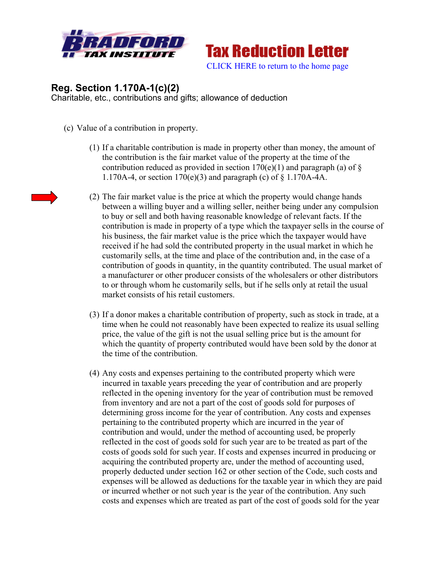



## **Reg. Section 1.170A-1(c)(2)**

Charitable, etc., contributions and gifts; allowance of deduction

- (c) Value of a contribution in property.
	- (1) If a charitable contribution is made in property other than money, the amount of the contribution is the fair market value of the property at the time of the contribution reduced as provided in section  $170(e)(1)$  and paragraph (a) of § 1.170A-4, or section 170(e)(3) and paragraph (c) of § 1.170A-4A.
	- (2) The fair market value is the price at which the property would change hands between a willing buyer and a willing seller, neither being under any compulsion to buy or sell and both having reasonable knowledge of relevant facts. If the contribution is made in property of a type which the taxpayer sells in the course of his business, the fair market value is the price which the taxpayer would have received if he had sold the contributed property in the usual market in which he customarily sells, at the time and place of the contribution and, in the case of a contribution of goods in quantity, in the quantity contributed. The usual market of a manufacturer or other producer consists of the wholesalers or other distributors to or through whom he customarily sells, but if he sells only at retail the usual market consists of his retail customers.
	- (3) If a donor makes a charitable contribution of property, such as stock in trade, at a time when he could not reasonably have been expected to realize its usual selling price, the value of the gift is not the usual selling price but is the amount for which the quantity of property contributed would have been sold by the donor at the time of the contribution.
	- (4) Any costs and expenses pertaining to the contributed property which were incurred in taxable years preceding the year of contribution and are properly reflected in the opening inventory for the year of contribution must be removed from inventory and are not a part of the cost of goods sold for purposes of determining gross income for the year of contribution. Any costs and expenses pertaining to the contributed property which are incurred in the year of contribution and would, under the method of accounting used, be properly reflected in the cost of goods sold for such year are to be treated as part of the costs of goods sold for such year. If costs and expenses incurred in producing or acquiring the contributed property are, under the method of accounting used, properly deducted under section 162 or other section of the Code, such costs and expenses will be allowed as deductions for the taxable year in which they are paid or incurred whether or not such year is the year of the contribution. Any such costs and expenses which are treated as part of the cost of goods sold for the year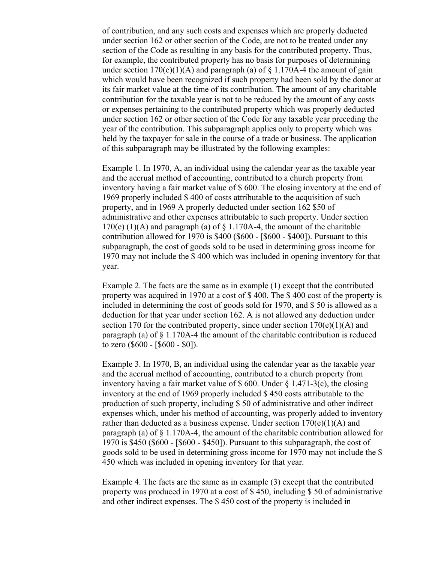of contribution, and any such costs and expenses which are properly deducted under section 162 or other section of the Code, are not to be treated under any section of the Code as resulting in any basis for the contributed property. Thus, for example, the contributed property has no basis for purposes of determining under section  $170(e)(1)(A)$  and paragraph (a) of § 1.170A-4 the amount of gain which would have been recognized if such property had been sold by the donor at its fair market value at the time of its contribution. The amount of any charitable contribution for the taxable year is not to be reduced by the amount of any costs or expenses pertaining to the contributed property which was properly deducted under section 162 or other section of the Code for any taxable year preceding the year of the contribution. This subparagraph applies only to property which was held by the taxpayer for sale in the course of a trade or business. The application of this subparagraph may be illustrated by the following examples:

Example 1. In 1970, A, an individual using the calendar year as the taxable year and the accrual method of accounting, contributed to a church property from inventory having a fair market value of \$ 600. The closing inventory at the end of 1969 properly included \$ 400 of costs attributable to the acquisition of such property, and in 1969 A properly deducted under section 162 \$50 of administrative and other expenses attributable to such property. Under section 170(e) (1)(A) and paragraph (a) of  $\S$  1.170A-4, the amount of the charitable contribution allowed for 1970 is \$400 (\$600 - [\$600 - \$400]). Pursuant to this subparagraph, the cost of goods sold to be used in determining gross income for 1970 may not include the \$ 400 which was included in opening inventory for that year.

Example 2. The facts are the same as in example (1) except that the contributed property was acquired in 1970 at a cost of \$ 400. The \$ 400 cost of the property is included in determining the cost of goods sold for 1970, and \$ 50 is allowed as a deduction for that year under section 162. A is not allowed any deduction under section 170 for the contributed property, since under section  $170(e)(1)(A)$  and paragraph (a) of § 1.170A-4 the amount of the charitable contribution is reduced to zero (\$600 - [\$600 - \$0]).

Example 3. In 1970, B, an individual using the calendar year as the taxable year and the accrual method of accounting, contributed to a church property from inventory having a fair market value of  $\frac{1}{2}$  600. Under  $\frac{1}{2}$  1.471-3(c), the closing inventory at the end of 1969 properly included \$ 450 costs attributable to the production of such property, including \$ 50 of administrative and other indirect expenses which, under his method of accounting, was properly added to inventory rather than deducted as a business expense. Under section  $170(e)(1)(A)$  and paragraph (a) of  $\S 1.170A-4$ , the amount of the charitable contribution allowed for 1970 is \$450 (\$600 - [\$600 - \$450]). Pursuant to this subparagraph, the cost of goods sold to be used in determining gross income for 1970 may not include the \$ 450 which was included in opening inventory for that year.

Example 4. The facts are the same as in example (3) except that the contributed property was produced in 1970 at a cost of \$ 450, including \$ 50 of administrative and other indirect expenses. The \$ 450 cost of the property is included in